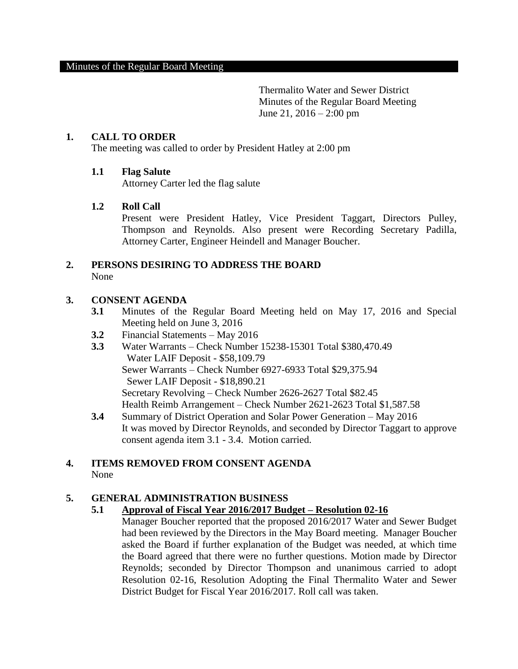Thermalito Water and Sewer District Minutes of the Regular Board Meeting June 21,  $2016 - 2:00$  pm

## **1. CALL TO ORDER**

The meeting was called to order by President Hatley at 2:00 pm

### **1.1 Flag Salute**

Attorney Carter led the flag salute

### **1.2 Roll Call**

Present were President Hatley, Vice President Taggart, Directors Pulley, Thompson and Reynolds. Also present were Recording Secretary Padilla, Attorney Carter, Engineer Heindell and Manager Boucher.

#### **2. PERSONS DESIRING TO ADDRESS THE BOARD** None

### **3. CONSENT AGENDA**

- **3.1** Minutes of the Regular Board Meeting held on May 17, 2016 and Special Meeting held on June 3, 2016
- **3.2** Financial Statements May 2016
- **3.3** Water Warrants Check Number 15238-15301 Total \$380,470.49 Water LAIF Deposit - \$58,109.79 Sewer Warrants – Check Number 6927-6933 Total \$29,375.94 Sewer LAIF Deposit - \$18,890.21 Secretary Revolving – Check Number 2626-2627 Total \$82.45 Health Reimb Arrangement – Check Number 2621-2623 Total \$1,587.58
- **3.4** Summary of District Operation and Solar Power Generation May 2016 It was moved by Director Reynolds, and seconded by Director Taggart to approve consent agenda item 3.1 - 3.4. Motion carried.

## **4. ITEMS REMOVED FROM CONSENT AGENDA**  None

#### **5. GENERAL ADMINISTRATION BUSINESS**

#### **5.1 Approval of Fiscal Year 2016/2017 Budget – Resolution 02-16**

Manager Boucher reported that the proposed 2016/2017 Water and Sewer Budget had been reviewed by the Directors in the May Board meeting. Manager Boucher asked the Board if further explanation of the Budget was needed, at which time the Board agreed that there were no further questions. Motion made by Director Reynolds; seconded by Director Thompson and unanimous carried to adopt Resolution 02-16, Resolution Adopting the Final Thermalito Water and Sewer District Budget for Fiscal Year 2016/2017. Roll call was taken.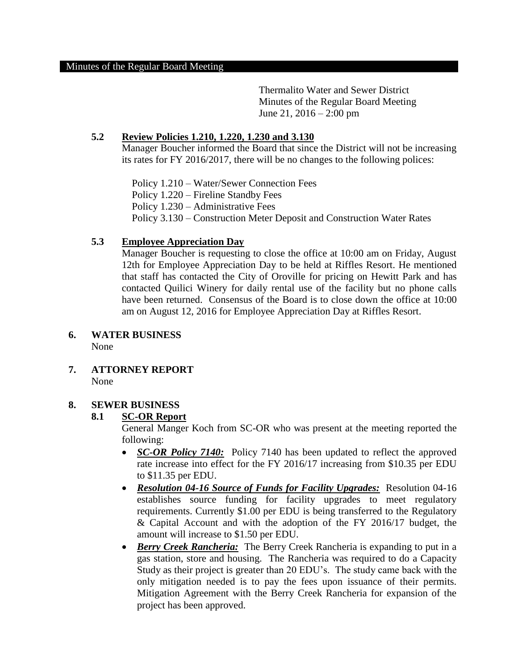Thermalito Water and Sewer District Minutes of the Regular Board Meeting June 21, 2016 – 2:00 pm

## **5.2 Review Policies 1.210, 1.220, 1.230 and 3.130**

Manager Boucher informed the Board that since the District will not be increasing its rates for FY 2016/2017, there will be no changes to the following polices:

 Policy 1.210 – Water/Sewer Connection Fees Policy 1.220 – Fireline Standby Fees Policy 1.230 – Administrative Fees Policy 3.130 – Construction Meter Deposit and Construction Water Rates

## **5.3 Employee Appreciation Day**

Manager Boucher is requesting to close the office at 10:00 am on Friday, August 12th for Employee Appreciation Day to be held at Riffles Resort. He mentioned that staff has contacted the City of Oroville for pricing on Hewitt Park and has contacted Quilici Winery for daily rental use of the facility but no phone calls have been returned. Consensus of the Board is to close down the office at 10:00 am on August 12, 2016 for Employee Appreciation Day at Riffles Resort.

#### **6. WATER BUSINESS** None

 **7. ATTORNEY REPORT** None

# **8. SEWER BUSINESS**

## **8.1 SC-OR Report**

General Manger Koch from SC-OR who was present at the meeting reported the following:

- *SC-OR Policy 7140:* Policy 7140 has been updated to reflect the approved rate increase into effect for the FY 2016/17 increasing from \$10.35 per EDU to \$11.35 per EDU.
- *Resolution 04-16 Source of Funds for Facility Upgrades:* Resolution 04-16 establishes source funding for facility upgrades to meet regulatory requirements. Currently \$1.00 per EDU is being transferred to the Regulatory & Capital Account and with the adoption of the FY 2016/17 budget, the amount will increase to \$1.50 per EDU.
- *Berry Creek Rancheria:* The Berry Creek Rancheria is expanding to put in a gas station, store and housing. The Rancheria was required to do a Capacity Study as their project is greater than 20 EDU's. The study came back with the only mitigation needed is to pay the fees upon issuance of their permits. Mitigation Agreement with the Berry Creek Rancheria for expansion of the project has been approved.